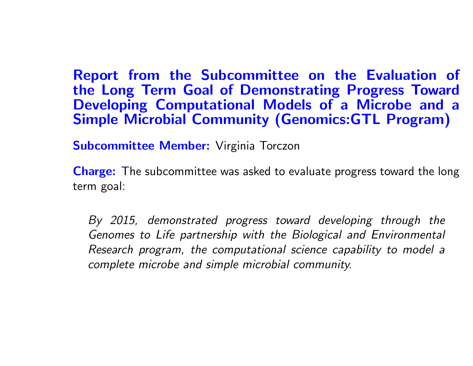Report from the Subcommittee on the Evaluation of the Long Term Goal of Demonstrating Progress Toward Developing Computational Models of <sup>a</sup> Microbe and <sup>a</sup> Simple Microbial Community (Genomics:GTL Program)

Subcommittee Member: Virginia Torczon

**Charge:** The subcommittee was asked to evaluate progress toward the long term goal:

By 2015, demonstrated progress toward developing through the Genomes to Life partnership with the Biological and Environmental Research program, the computational science capability to model <sup>a</sup> complete microbe and simple microbial community.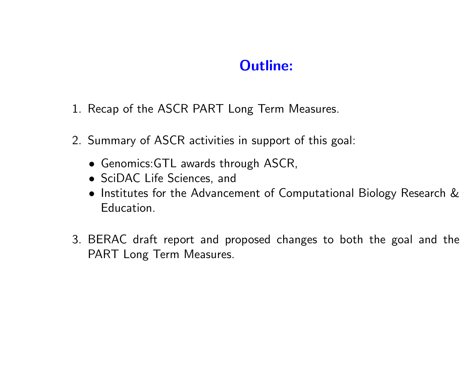## Outline:

- 1. Recap of the ASCR PART Long Term Measures.
- 2. Summary of ASCR activities in support of this goal:
	- Genomics:GTL awards through ASCR,
	- SciDAC Life Sciences, and
	- Institutes for the Advancement of Computational Biology Research & Education.
- 3. BERAC draft report and proposed changes to both the goal and the PART Long Term Measures.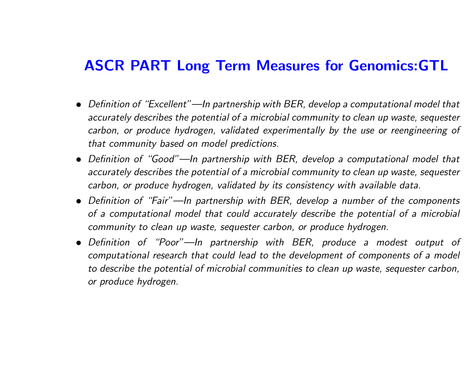### ASCR PART Long Term Measures for Genomics:GTL

- Definition of "Excellent"—In partnership with BER, develop <sup>a</sup> computational model that accurately describes the potential of <sup>a</sup> microbial community to clean up waste, sequester carbon, or produce hydrogen, validated experimentally by the use or reengineering of that community based on model predictions.
- Definition of "Good"—In partnership with BER, develop <sup>a</sup> computational model that accurately describes the potential of <sup>a</sup> microbial community to clean up waste, sequester carbon, or produce hydrogen, validated by its consistency with available data.
- Definition of "Fair"—In partnership with BER, develop <sup>a</sup> number of the components of a computational model that could accurately describe the potential of <sup>a</sup> microbial community to clean up waste, sequester carbon, or produce hydrogen.
- Definition of "Poor"—In partnership with BER, produce <sup>a</sup> modest output of computational research that could lead to the development of components of <sup>a</sup> model to describe the potential of microbial communities to clean up waste, sequester carbon, or produce hydrogen.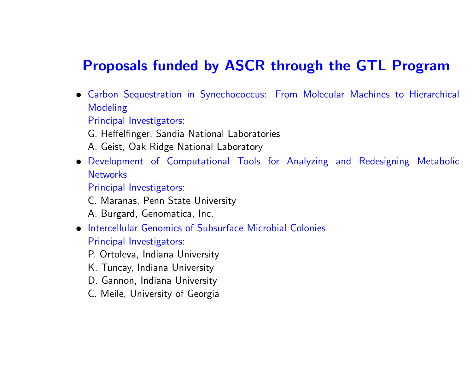### Proposals funded by ASCR through the GTL Program

• Carbon Sequestration in Synechococcus: From Molecular Machines to Hierarchical Modeling

Principal Investigators:

- G. Heffelfinger, Sandia National Laboratories
- A. Geist, Oak Ridge National Laboratory
- Development of Computational Tools for Analyzing and Redesigning Metabolic **Networks**

Principal Investigators:

C. Maranas, Penn State University

A. Burgard, Genomatica, Inc.

- Intercellular Genomics of Subsurface Microbial Colonies Principal Investigators:
	- P. Ortoleva, Indiana University
	- K. Tuncay, Indiana University
	- D. Gannon, Indiana University
	- C. Meile, University of Georgia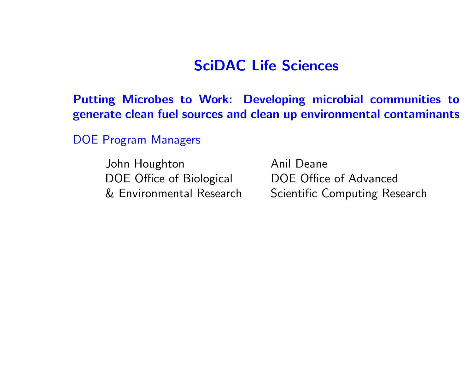### SciDAC Life Sciences

Putting Microbes to Work: Developing microbial communities to generate clean fuel sources and clean up environmental contaminants

DOE Program Managers

John Houghton Anil Deane DOE Office of Biological DOE Office of Advanced & Environmental Research

Scientific Computing Research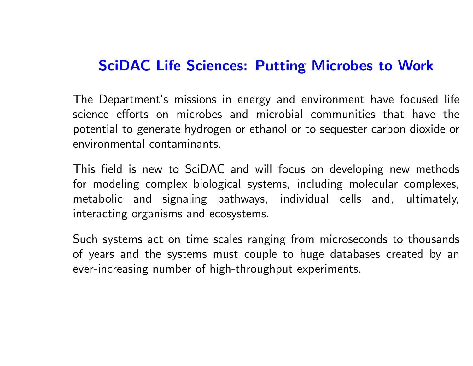## SciDAC Life Sciences: Putting Microbes to Work

The Department's missions in energy and environment have focused life science efforts on microbes and microbial communities that have the potential to generate hydrogen or ethanol or to sequester carbon dioxide or environmental contaminants.

This field is new to SciDAC and will focus on developing new methods for modeling complex biological systems, including molecular complexes, metabolic and signaling pathways, individual cells and, ultimately, interacting organisms and ecosystems.

Such systems act on time scales ranging from microseconds to thousands of years and the systems must couple to huge databases created by an ever-increasing number of high-throughput experiments.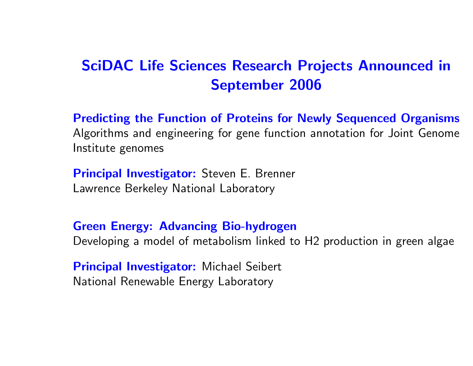# SciDAC Life Sciences Research Projects Announced in September 2006

Predicting the Function of Proteins for Newly Sequenced Organisms Algorithms and engineering for gene function annotation for Joint Genome Institute genomes

**Principal Investigator:** Steven E. Brenner Lawrence Berkeley National Laboratory

Green Energy: Advancing Bio-hydrogen

Developing <sup>a</sup> model of metabolism linked to H2 production in green algae

**Principal Investigator:** Michael Seibert National Renewable Energy Laboratory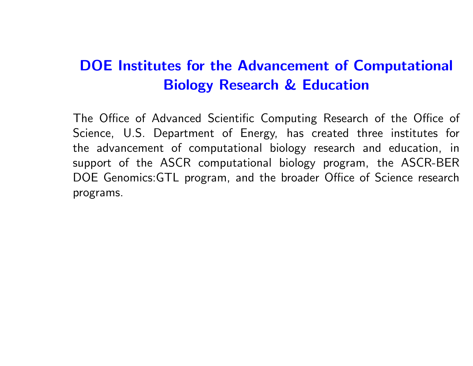# DOE Institutes for the Advancement of Computational Biology Research & Education

The Office of Advanced Scientific Computing Research of the Office of Science, U.S. Department of Energy, has created three institutes for the advancement of computational biology research and education, in support of the ASCR computational biology program, the ASCR-BER DOE Genomics:GTL program, and the broader Office of Science research programs.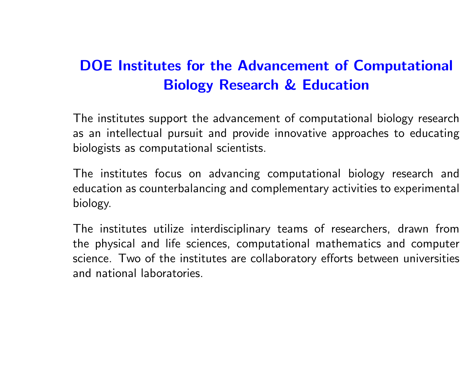# DOE Institutes for the Advancement of Computational Biology Research & Education

The institutes support the advancement of computational biology research as an intellectual pursuit and provide innovative approaches to educating biologists as computational scientists.

The institutes focus on advancing computational biology research and education as counterbalancing and complementary activities to experimental biology.

The institutes utilize interdisciplinary teams of researchers, drawn from the physical and life sciences, computational mathematics and computer science. Two of the institutes are collaboratory efforts between universities and national laboratories.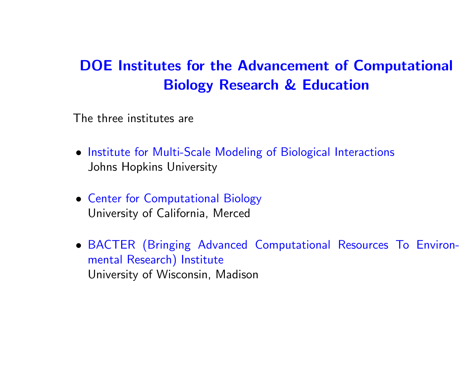# DOE Institutes for the Advancement of Computational Biology Research & Education

The three institutes are

- Institute for Multi-Scale Modeling of Biological Interactions Johns Hopkins University
- Center for Computational Biology University of California, Merced
- BACTER (Bringing Advanced Computational Resources To Environmental Research) Institute University of Wisconsin, Madison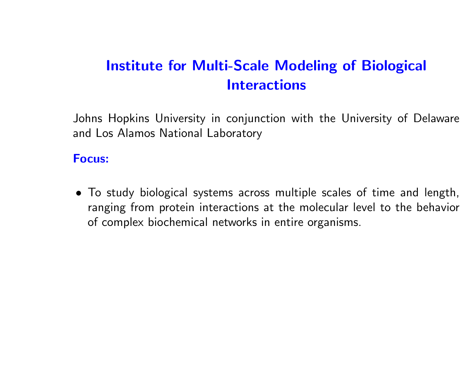# Institute for Multi-Scale Modeling of Biological **Interactions**

Johns Hopkins University in conjunction with the University of Delaware and Los Alamos National Laboratory

#### Focus:

• To study biological systems across multiple scales of time and length, ranging from protein interactions at the molecular level to the behavior of complex biochemical networks in entire organisms.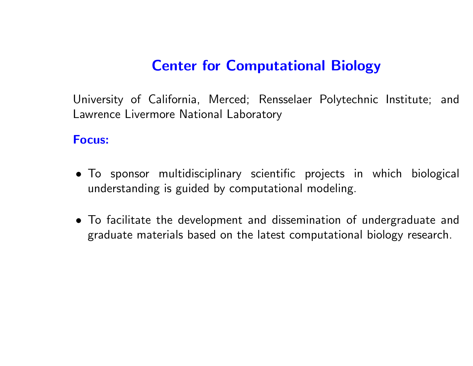## Center for Computational Biology

University of California, Merced; Rensselaer Polytechnic Institute; and Lawrence Livermore National Laboratory

#### Focus:

- To sponsor multidisciplinary scientific projects in which biological understanding is guided by computational modeling.
- To facilitate the development and dissemination of undergraduate and graduate materials based on the latest computational biology research.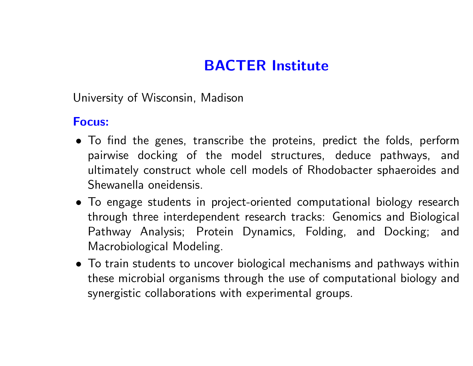# BACTER Institute

University of Wisconsin, Madison

### Focus:

- To find the genes, transcribe the proteins, predict the folds, perform pairwise docking of the model structures, deduce pathways, and ultimately construct whole cell models of Rhodobacter sphaeroides and Shewanella oneidensis.
- To engage students in project-oriented computational biology research through three interdependent research tracks: Genomics and Biological Pathway Analysis; Protein Dynamics, Folding, and Docking; and Macrobiological Modeling.
- To train students to uncover biological mechanisms and pathways within these microbial organisms through the use of computational biology and synergistic collaborations with experimental groups.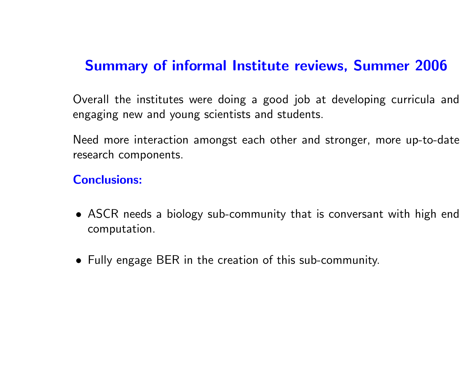## Summary of informal Institute reviews, Summer 2006

Overall the institutes were doing <sup>a</sup> good job at developing curricula and engaging new and young scientists and students.

Need more interaction amongst each other and stronger, more up-to-date research components.

#### Conclusions:

- ASCR needs <sup>a</sup> biology sub-community that is conversant with high end computation.
- Fully engage BER in the creation of this sub-community.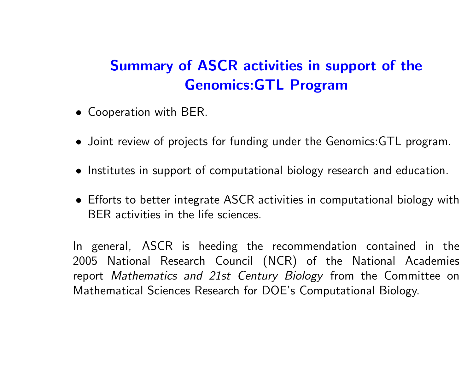# Summary of ASCR activities in support of the Genomics:GTL Program

- Cooperation with BER.
- Joint review of projects for funding under the Genomics:GTL program.
- Institutes in support of computational biology research and education.
- Efforts to better integrate ASCR activities in computational biology with BER activities in the life sciences.

In general, ASCR is heeding the recommendation contained in the 2005 National Research Council (NCR) of the National Academies report Mathematics and 21st Century Biology from the Committee on Mathematical Sciences Research for DOE's Computational Biology.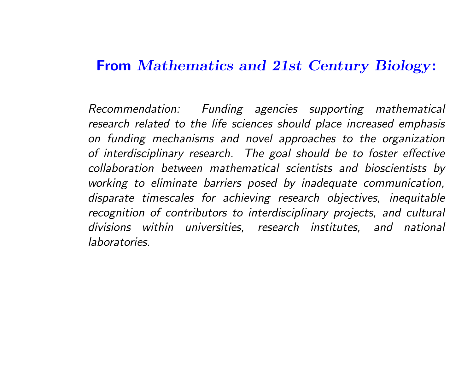### From Mathematics and 21st Century Biology:

Recommendation: Funding agencies supporting mathematical research related to the life sciences should place increased emphasis on funding mechanisms and novel approaches to the organization of interdisciplinary research. The goal should be to foster effective collaboration between mathematical scientists and bioscientists by working to eliminate barriers posed by inadequate communication, disparate timescales for achieving research objectives, inequitable recognition of contributors to interdisciplinary projects, and cultural divisions within universities, research institutes, and national laboratories.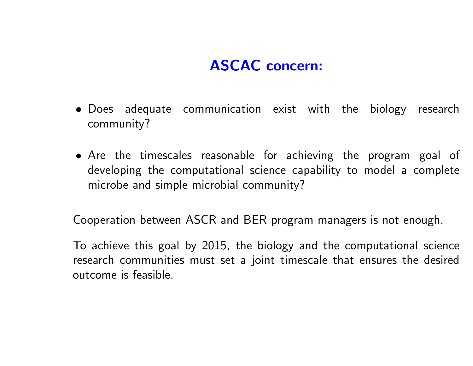# ASCAC concern:

- Does adequate communication exist with the biology research community?
- Are the timescales reasonable for achieving the program goal of developing the computational science capability to model <sup>a</sup> complete microbe and simple microbial community?

Cooperation between ASCR and BER program managers is not enough.

To achieve this goal by 2015, the biology and the computational science research communities must set <sup>a</sup> joint timescale that ensures the desired outcome is feasible.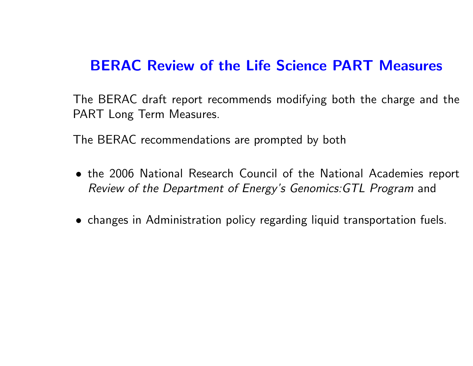## BERAC Review of the Life Science PART Measures

The BERAC draft report recommends modifying both the charge and the PART Long Term Measures.

The BERAC recommendations are prompted by both

- the 2006 National Research Council of the National Academies report Review of the Department of Energy's Genomics:GTL Program and
- changes in Administration policy regarding liquid transportation fuels.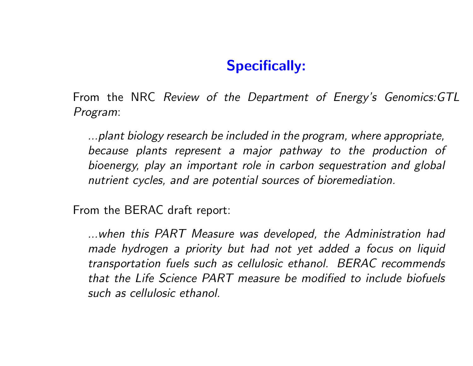## Specifically:

From the NRC Review of the Department of Energy's Genomics:GTL Program:

...plant biology research be included in the program, where appropriate, because plants represent <sup>a</sup> major pathway to the production of bioenergy, play an important role in carbon sequestration and global nutrient cycles, and are potential sources of bioremediation.

From the BERAC draft report:

...when this PART Measure was developed, the Administration had made hydrogen <sup>a</sup> priority but had not yet added <sup>a</sup> focus on liquid transportation fuels such as cellulosic ethanol. BERAC recommends that the Life Science PART measure be modified to include biofuels such as cellulosic ethanol.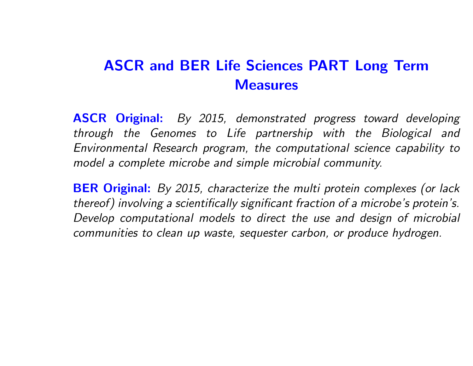# ASCR and BER Life Sciences PART Long Term **Measures**

**ASCR Original:** By 2015, demonstrated progress toward developing through the Genomes to Life partnership with the Biological and Environmental Research program, the computational science capability to model a complete microbe and simple microbial community.

**BER Original:** By 2015, characterize the multi protein complexes (or lack thereof) involving <sup>a</sup> scientifically significant fraction of <sup>a</sup> microbe's protein's. Develop computational models to direct the use and design of microbial communities to clean up waste, sequester carbon, or produce hydrogen.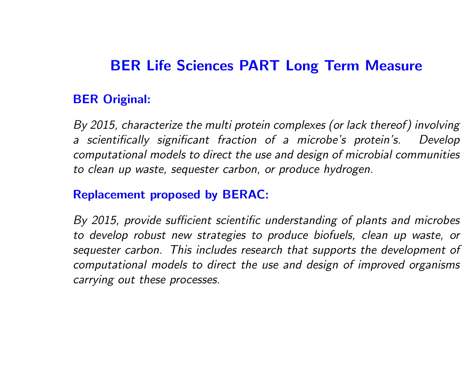## BER Life Sciences PART Long Term Measure

### BER Original:

By 2015, characterize the multi protein complexes (or lack thereof) involving a scientifically significant fraction of <sup>a</sup> microbe's protein's. Develop computational models to direct the use and design of microbial communities to clean up waste, sequester carbon, or produce hydrogen.

### Replacement proposed by BERAC:

By 2015, provide sufficient scientific understanding of plants and microbes to develop robust new strategies to produce biofuels, clean up waste, or sequester carbon. This includes research that supports the development of computational models to direct the use and design of improved organisms carrying out these processes.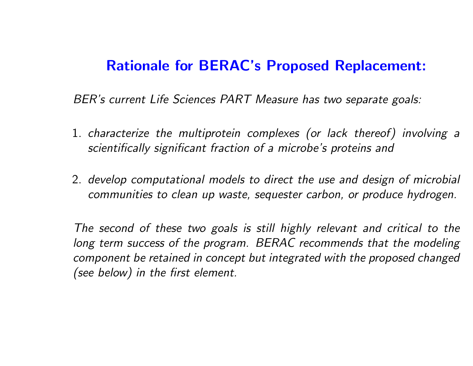### Rationale for BERAC's Proposed Replacement:

BER's current Life Sciences PART Measure has two separate goals:

- 1. characterize the multiprotein complexes (or lack thereof) involving <sup>a</sup> scientifically significant fraction of <sup>a</sup> microbe's proteins and
- 2. develop computational models to direct the use and design of microbial communities to clean up waste, sequester carbon, or produce hydrogen.

The second of these two goals is still highly relevant and critical to the long term success of the program. BERAC recommends that the modeling component be retained in concept but integrated with the proposed changed (see below) in the first element.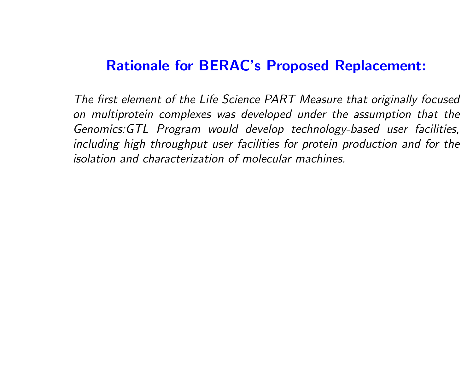## Rationale for BERAC's Proposed Replacement:

The first element of the Life Science PART Measure that originally focused on multiprotein complexes was developed under the assumption that the Genomics:GTL Program would develop technology-based user facilities, including high throughput user facilities for protein production and for the isolation and characterization of molecular machines.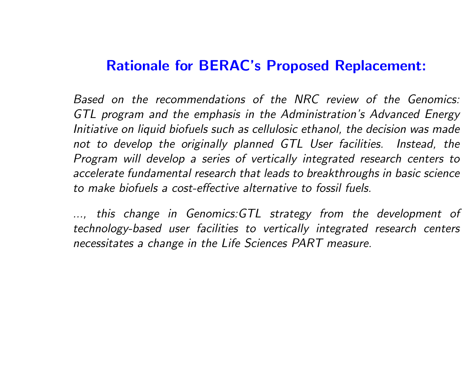### Rationale for BERAC's Proposed Replacement:

Based on the recommendations of the NRC review of the Genomics: GTL program and the emphasis in the Administration's Advanced Energy Initiative on liquid biofuels such as cellulosic ethanol, the decision was made not to develop the originally planned GTL User facilities. Instead, the Program will develop <sup>a</sup> series of vertically integrated research centers to accelerate fundamental research that leads to breakthroughs in basic science to make biofuels <sup>a</sup> cost-effective alternative to fossil fuels.

..., this change in Genomics:GTL strategy from the development of technology-based user facilities to vertically integrated research centers necessitates a change in the Life Sciences PART measure.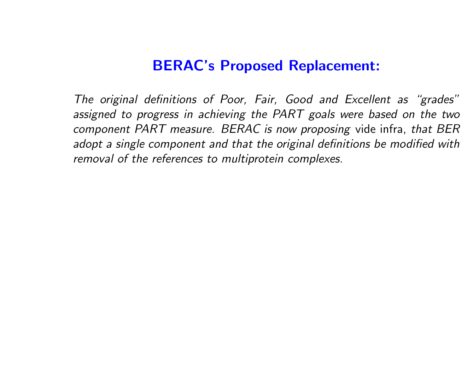### BERAC's Proposed Replacement:

The original definitions of Poor, Fair, Good and Excellent as "grades" assigned to progress in achieving the PART goals were based on the two component PART measure. BERAC is now proposing vide infra, that BER adopt <sup>a</sup> single component and that the original definitions be modified with removal of the references to multiprotein complexes.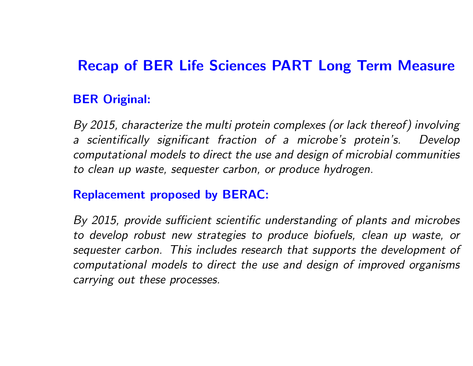## Recap of BER Life Sciences PART Long Term Measure

### BER Original:

By 2015, characterize the multi protein complexes (or lack thereof) involving a scientifically significant fraction of <sup>a</sup> microbe's protein's. Develop computational models to direct the use and design of microbial communities to clean up waste, sequester carbon, or produce hydrogen.

### Replacement proposed by BERAC:

By 2015, provide sufficient scientific understanding of plants and microbes to develop robust new strategies to produce biofuels, clean up waste, or sequester carbon. This includes research that supports the development of computational models to direct the use and design of improved organisms carrying out these processes.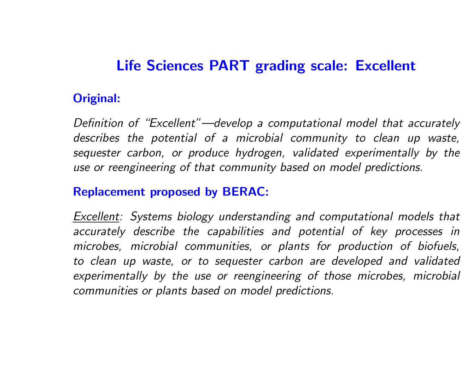## Life Sciences PART grading scale: Excellent

### Original:

Definition of "Excellent"—develop <sup>a</sup> computational model that accurately describes the potential of <sup>a</sup> microbial community to clean up waste, sequester carbon, or produce hydrogen, validated experimentally by the use or reengineering of that community based on model predictions.

#### Replacement proposed by BERAC:

Excellent: Systems biology understanding and computational models that accurately describe the capabilities and potential of key processes in microbes, microbial communities, or plants for production of biofuels, to clean up waste, or to sequester carbon are developed and validated experimentally by the use or reengineering of those microbes, microbial communities or plants based on model predictions.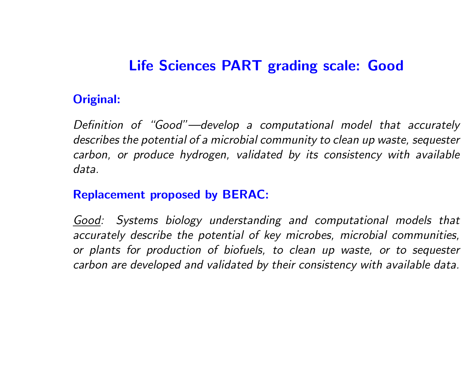# Life Sciences PART grading scale: Good

### Original:

Definition of "Good"—develop <sup>a</sup> computational model that accurately describes the potential of <sup>a</sup> microbial community to clean up waste, sequester carbon, or produce hydrogen, validated by its consistency with available data.

### Replacement proposed by BERAC:

Good: Systems biology understanding and computational models that accurately describe the potential of key microbes, microbial communities, or plants for production of biofuels, to clean up waste, or to sequester carbon are developed and validated by their consistency with available data.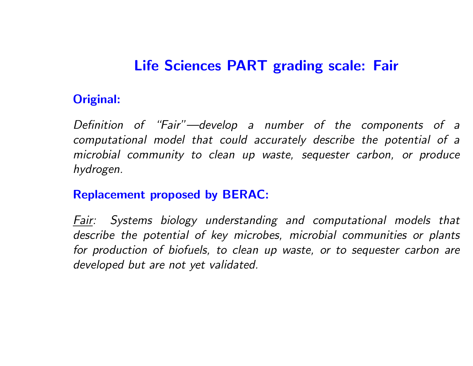# Life Sciences PART grading scale: Fair

### Original:

Definition of "Fair"—develop <sup>a</sup> number of the components of <sup>a</sup> computational model that could accurately describe the potential of <sup>a</sup> microbial community to clean up waste, sequester carbon, or produce hydrogen.

### Replacement proposed by BERAC:

Fair: Systems biology understanding and computational models that describe the potential of key microbes, microbial communities or plants for production of biofuels, to clean up waste, or to sequester carbon are developed but are not yet validated.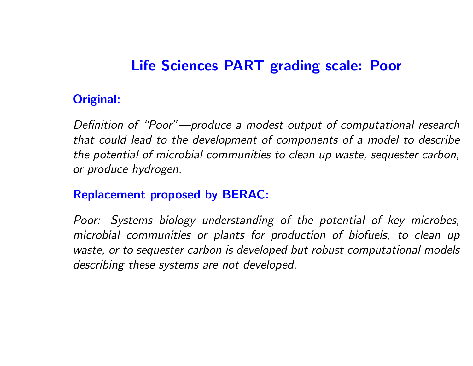## Life Sciences PART grading scale: Poor

### Original:

Definition of "Poor"—produce <sup>a</sup> modest output of computational research that could lead to the development of components of <sup>a</sup> model to describe the potential of microbial communities to clean up waste, sequester carbon, or produce hydrogen.

### Replacement proposed by BERAC:

<u>Poor</u>: Systems biology understanding of the potential of key microbes, microbial communities or plants for production of biofuels, to clean up waste, or to sequester carbon is developed but robust computational models describing these systems are not developed.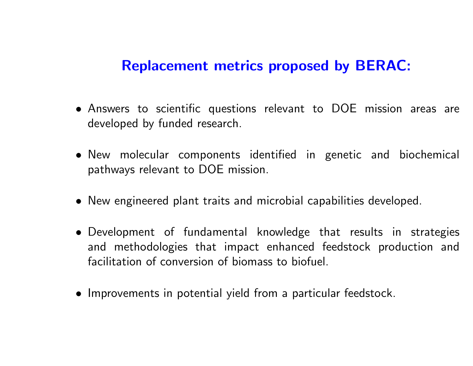### Replacement metrics proposed by BERAC:

- Answers to scientific questions relevant to DOE mission areas are developed by funded research.
- New molecular components identified in genetic and biochemical pathways relevant to DOE mission.
- New engineered plant traits and microbial capabilities developed.
- Development of fundamental knowledge that results in strategies and methodologies that impact enhanced feedstock production and facilitation of conversion of biomass to biofuel.
- Improvements in potential yield from <sup>a</sup> particular feedstock.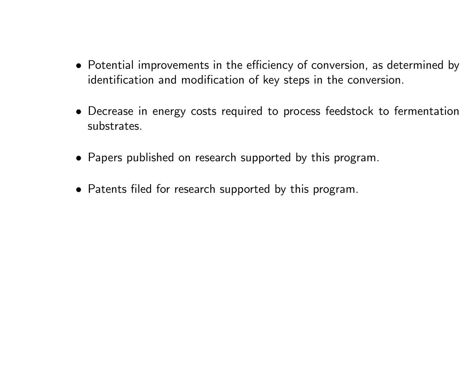- Potential improvements in the efficiency of conversion, as determined by identification and modification of key steps in the conversion.
- Decrease in energy costs required to process feedstock to fermentation substrates.
- Papers published on research supported by this program.
- Patents filed for research supported by this program.